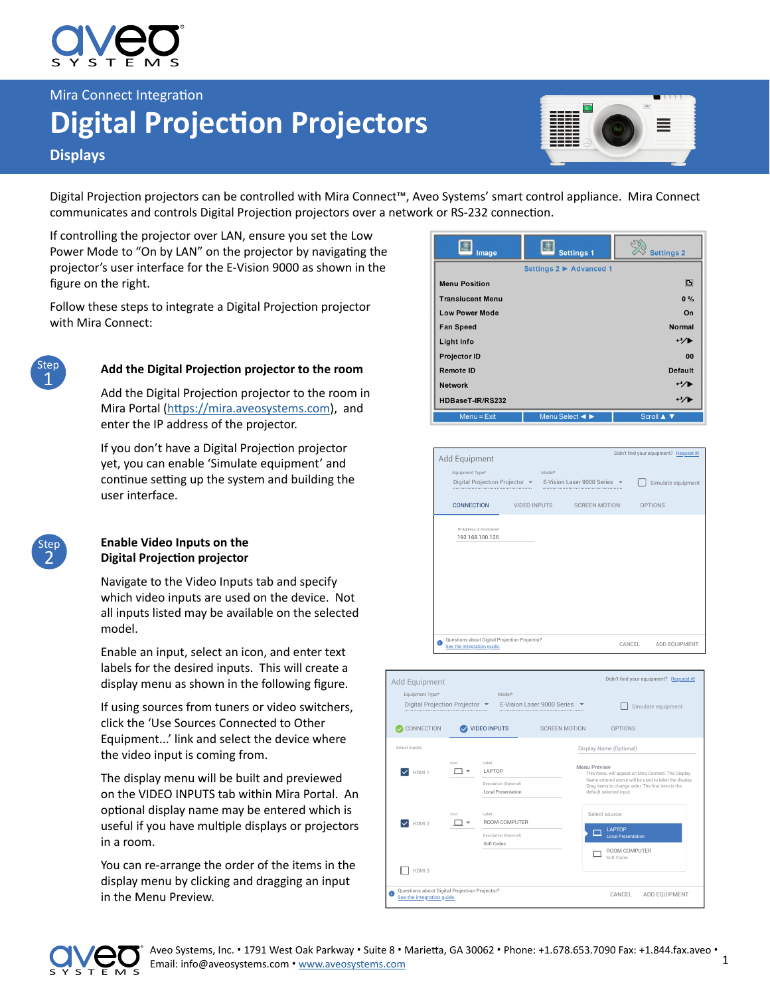

Mira Connect Integration

# **Digital Projection Projectors**

## **Displays**

Digital Projection projectors can be controlled with Mira Connect™, Aveo Systems' smart control appliance. Mira Connect communicates and controls Digital Projection projectors over a network or RS-232 connection.

If controlling the projector over LAN, ensure you set the Low Power Mode to "On by LAN" on the projector by navigating the projector's user interface for the E-Vision 9000 as shown in the figure on the right.

Follow these steps to integrate a Digital Projection projector with Mira Connect:



2 Step

### **Add the Digital Projection projector to the room**

Add the Digital Projection projector to the room in Mira Portal [\(https://mira.aveosystems.com\)](https://mira.aveosystems.com), and enter the IP address of the projector.

If you don't have a Digital Projection projector yet, you can enable 'Simulate equipment' and continue setting up the system and building the user interface.

#### **Enable Video Inputs on the Digital Projection projector**

Navigate to the Video Inputs tab and specify which video inputs are used on the device. Not all inputs listed may be available on the selected model.

Enable an input, select an icon, and enter text labels for the desired inputs. This will create a display menu as shown in the following figure.

If using sources from tuners or video switchers, click the 'Use Sources Connected to Other Equipment...' link and select the device where the video input is coming from.

The display menu will be built and previewed on the VIDEO INPUTS tab within Mira Portal. An optional display name may be entered which is useful if you have multiple displays or projectors in a room.

You can re-arrange the order of the items in the display menu by clicking and dragging an input in the Menu Preview.

| Image                   | <b>Settings 1</b>                                      | <b>Settings 2</b> |
|-------------------------|--------------------------------------------------------|-------------------|
|                         | Settings 2 ▶ Advanced 1                                |                   |
| <b>Menu Position</b>    |                                                        | G                 |
| <b>Translucent Menu</b> |                                                        | $0\%$             |
| <b>Low Power Mode</b>   |                                                        | On                |
| <b>Fan Speed</b>        |                                                        | Normal            |
| Light Info              |                                                        | ャノト               |
| <b>Projector ID</b>     |                                                        | 00                |
| <b>Remote ID</b>        |                                                        | <b>Default</b>    |
| <b>Network</b>          |                                                        | ツル                |
| HDBaseT-IR/RS232        |                                                        |                   |
| $Menu = Exist$          | Menu Select $\blacktriangleleft$ $\blacktriangleright$ | Scroll A ▼        |







1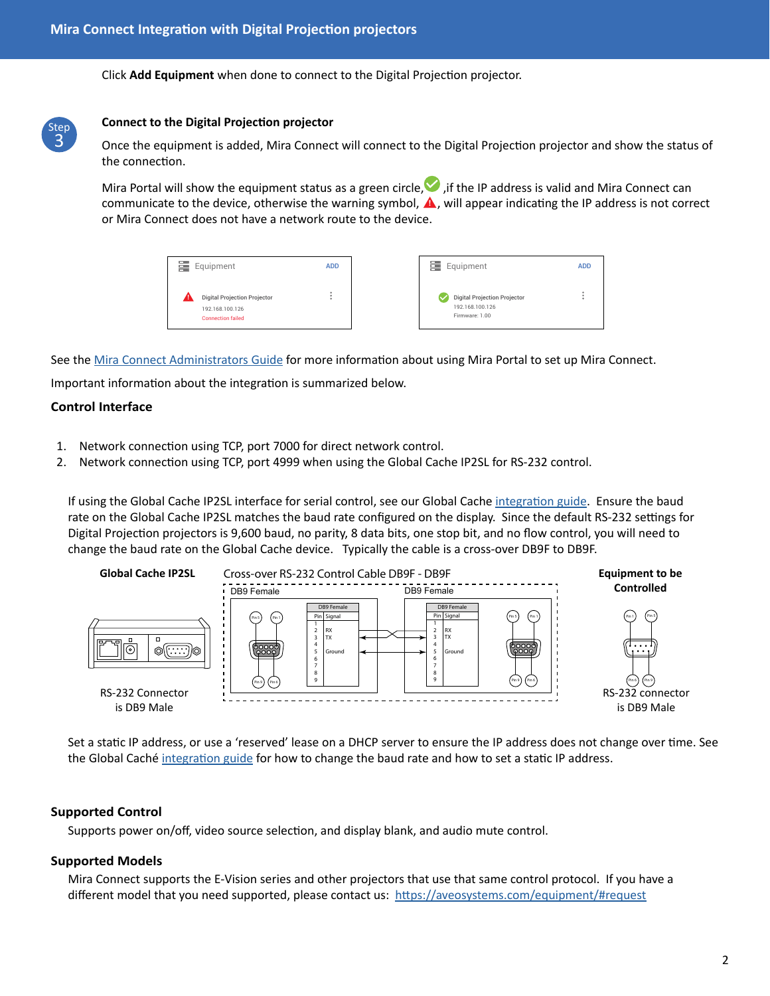Click **Add Equipment** when done to connect to the Digital Projection projector.



#### **Connect to the Digital Projection projector**

Once the equipment is added, Mira Connect will connect to the Digital Projection projector and show the status of the connection.

Mira Portal will show the equipment status as a green circle,  $\bullet$ , if the IP address is valid and Mira Connect can communicate to the device, otherwise the warning symbol, **A**, will appear indicating the IP address is not correct or Mira Connect does not have a network route to the device.

| Equipment<br>e                                                                     | <b>ADD</b> | Equipment<br>▭                                                           | <b>ADD</b> |
|------------------------------------------------------------------------------------|------------|--------------------------------------------------------------------------|------------|
| <b>Digital Projection Projector</b><br>192.168.100.126<br><b>Connection failed</b> |            | <b>Digital Projection Projector</b><br>192.168.100.126<br>Firmware: 1.00 |            |

See the [Mira Connect Administrators Guide](http://aveosystems.com/wp-content/uploads/product_pdfs/Mira_Connect_Administrators_Guide.pdf) for more information about using Mira Portal to set up Mira Connect.

Important information about the integration is summarized below.

#### **Control Interface**

- 1. Network connection using TCP, port 7000 for direct network control.
- 2. Network connection using TCP, port 4999 when using the Global Cache IP2SL for RS-232 control.

If using the Global Cache IP2SL interface for serial control, see our Global Cache [integration guide.](https://aveosystems.com/wp-content/uploads/product_pdfs/Global_Cache_Mira_Connect.pdf) Ensure the baud rate on the Global Cache IP2SL matches the baud rate configured on the display. Since the default RS-232 settings for Digital Projection projectors is 9,600 baud, no parity, 8 data bits, one stop bit, and no flow control, you will need to change the baud rate on the Global Cache device. Typically the cable is a cross-over DB9F to DB9F.



Set a static IP address, or use a 'reserved' lease on a DHCP server to ensure the IP address does not change over time. See the Global Caché [integration guide](https://aveosystems.com/wp-content/uploads/product_pdfs/Global_Cache_Mira_Connect.pdf) for how to change the baud rate and how to set a static IP address.

#### **Supported Control**

Supports power on/off, video source selection, and display blank, and audio mute control.

#### **Supported Models**

Mira Connect supports the E-Vision series and other projectors that use that same control protocol. If you have a different model that you need supported, please contact us: <https://aveosystems.com/equipment/#request>